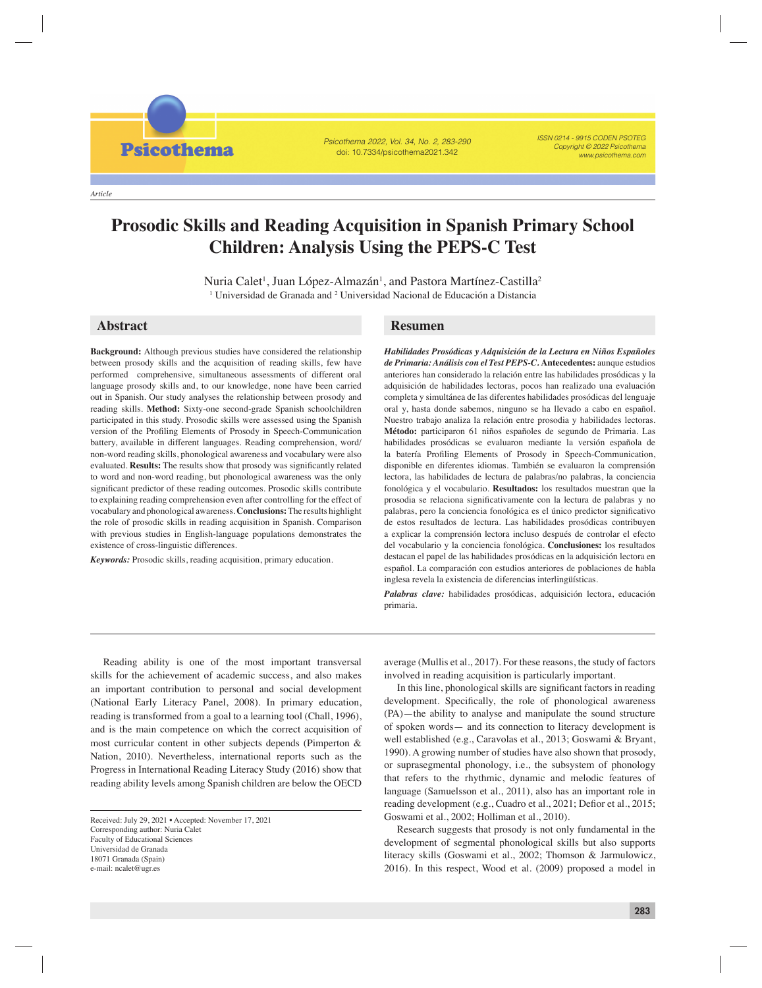**Psicothema** 

Psicothema 2022, Vol. 34, No. 2, 283-290 doi: 10.7334/psicothema2021.342

ISSN 0214 - 9915 CODEN PSOTEG Copyright © 2022 Psicothema www.psicothema.com

# **Prosodic Skills and Reading Acquisition in Spanish Primary School Children: Analysis Using the PEPS-C Test**

Nuria Calet<sup>1</sup>, Juan López-Almazán<sup>1</sup>, and Pastora Martínez-Castilla<sup>2</sup> <sup>1</sup> Universidad de Granada and <sup>2</sup> Universidad Nacional de Educación a Distancia

**Background:** Although previous studies have considered the relationship between prosody skills and the acquisition of reading skills, few have performed comprehensive, simultaneous assessments of different oral language prosody skills and, to our knowledge, none have been carried out in Spanish. Our study analyses the relationship between prosody and reading skills. **Method:** Sixty-one second-grade Spanish schoolchildren participated in this study. Prosodic skills were assessed using the Spanish version of the Profiling Elements of Prosody in Speech-Communication battery, available in different languages. Reading comprehension, word/ non-word reading skills, phonological awareness and vocabulary were also evaluated. Results: The results show that prosody was significantly related to word and non-word reading, but phonological awareness was the only significant predictor of these reading outcomes. Prosodic skills contribute to explaining reading comprehension even after controlling for the effect of vocabulary and phonological awareness. **Conclusions:** The results highlight the role of prosodic skills in reading acquisition in Spanish. Comparison with previous studies in English-language populations demonstrates the existence of cross-linguistic differences.

*Keywords:* Prosodic skills, reading acquisition, primary education.

## **Abstract Resumen**

*Habilidades Prosódicas y Adquisición de la Lectura en Niños Españoles de Primaria: Análisis con el Test PEPS-C.* **Antecedentes:** aunque estudios anteriores han considerado la relación entre las habilidades prosódicas y la adquisición de habilidades lectoras, pocos han realizado una evaluación completa y simultánea de las diferentes habilidades prosódicas del lenguaje oral y, hasta donde sabemos, ninguno se ha llevado a cabo en español. Nuestro trabajo analiza la relación entre prosodia y habilidades lectoras. **Método:** participaron 61 niños españoles de segundo de Primaria. Las habilidades prosódicas se evaluaron mediante la versión española de la batería Profiling Elements of Prosody in Speech-Communication, disponible en diferentes idiomas. También se evaluaron la comprensión lectora, las habilidades de lectura de palabras/no palabras, la conciencia fonológica y el vocabulario. **Resultados:** los resultados muestran que la prosodia se relaciona significativamente con la lectura de palabras y no palabras, pero la conciencia fonológica es el único predictor significativo de estos resultados de lectura. Las habilidades prosódicas contribuyen a explicar la comprensión lectora incluso después de controlar el efecto del vocabulario y la conciencia fonológica. **Conclusiones:** los resultados destacan el papel de las habilidades prosódicas en la adquisición lectora en español. La comparación con estudios anteriores de poblaciones de habla inglesa revela la existencia de diferencias interlingüísticas.

*Palabras clave:* habilidades prosódicas, adquisición lectora, educación primaria.

Reading ability is one of the most important transversal skills for the achievement of academic success, and also makes an important contribution to personal and social development (National Early Literacy Panel, 2008). In primary education, reading is transformed from a goal to a learning tool (Chall, 1996), and is the main competence on which the correct acquisition of most curricular content in other subjects depends (Pimperton & Nation, 2010). Nevertheless, international reports such as the Progress in International Reading Literacy Study (2016) show that reading ability levels among Spanish children are below the OECD

Received: July 29, 2021 • Accepted: November 17, 2021 Corresponding author: Nuria Calet Faculty of Educational Sciences Universidad de Granada 18071 Granada (Spain) e-mail: ncalet@ugr.es

average (Mullis et al., 2017). For these reasons, the study of factors involved in reading acquisition is particularly important.

In this line, phonological skills are significant factors in reading development. Specifically, the role of phonological awareness (PA)—the ability to analyse and manipulate the sound structure of spoken words— and its connection to literacy development is well established (e.g., Caravolas et al., 2013; Goswami & Bryant, 1990). A growing number of studies have also shown that prosody, or suprasegmental phonology, i.e., the subsystem of phonology that refers to the rhythmic, dynamic and melodic features of language (Samuelsson et al., 2011), also has an important role in reading development (e.g., Cuadro et al., 2021; Defior et al., 2015; Goswami et al., 2002; Holliman et al., 2010).

Research suggests that prosody is not only fundamental in the development of segmental phonological skills but also supports literacy skills (Goswami et al., 2002; Thomson & Jarmulowicz, 2016). In this respect, Wood et al. (2009) proposed a model in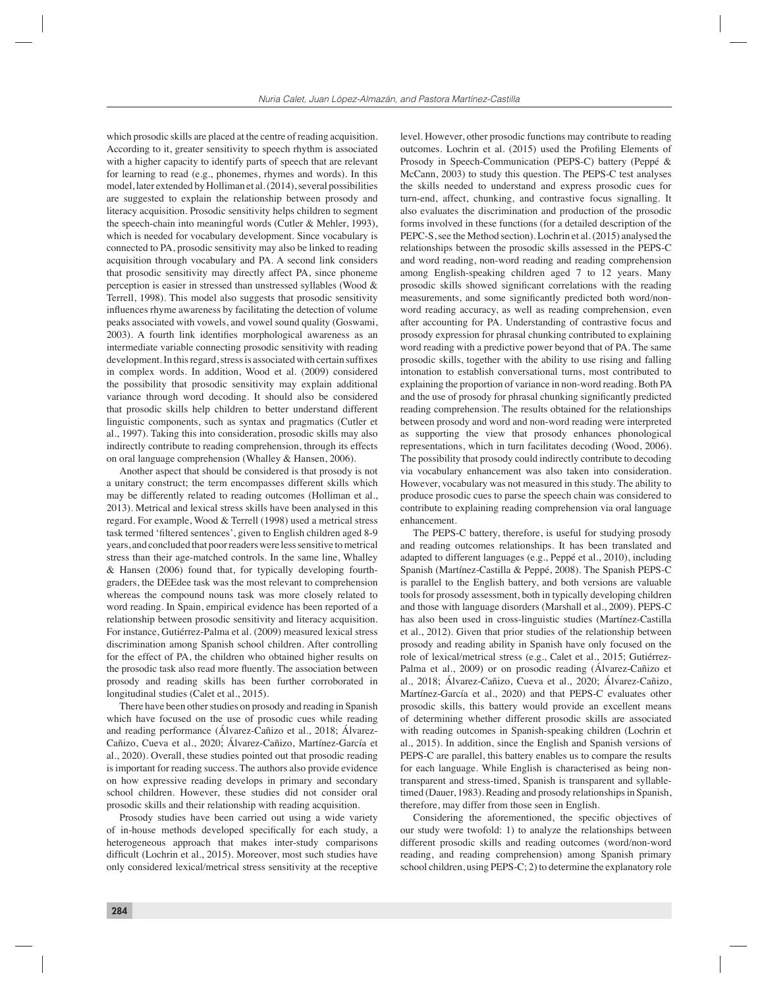which prosodic skills are placed at the centre of reading acquisition. According to it, greater sensitivity to speech rhythm is associated with a higher capacity to identify parts of speech that are relevant for learning to read (e.g., phonemes, rhymes and words). In this model, later extended by Holliman et al. (2014), several possibilities are suggested to explain the relationship between prosody and literacy acquisition. Prosodic sensitivity helps children to segment the speech-chain into meaningful words (Cutler & Mehler, 1993), which is needed for vocabulary development. Since vocabulary is connected to PA, prosodic sensitivity may also be linked to reading acquisition through vocabulary and PA. A second link considers that prosodic sensitivity may directly affect PA, since phoneme perception is easier in stressed than unstressed syllables (Wood & Terrell, 1998). This model also suggests that prosodic sensitivity influences rhyme awareness by facilitating the detection of volume peaks associated with vowels, and vowel sound quality (Goswami, 2003). A fourth link identifies morphological awareness as an intermediate variable connecting prosodic sensitivity with reading development. In this regard, stress is associated with certain suffixes in complex words. In addition, Wood et al. (2009) considered the possibility that prosodic sensitivity may explain additional variance through word decoding. It should also be considered that prosodic skills help children to better understand different linguistic components, such as syntax and pragmatics (Cutler et al., 1997). Taking this into consideration, prosodic skills may also indirectly contribute to reading comprehension, through its effects on oral language comprehension (Whalley & Hansen, 2006).

Another aspect that should be considered is that prosody is not a unitary construct; the term encompasses different skills which may be differently related to reading outcomes (Holliman et al., 2013). Metrical and lexical stress skills have been analysed in this regard. For example, Wood & Terrell (1998) used a metrical stress task termed 'filtered sentences', given to English children aged 8-9 years, and concluded that poor readers were less sensitive to metrical stress than their age-matched controls. In the same line, Whalley & Hansen (2006) found that, for typically developing fourthgraders, the DEEdee task was the most relevant to comprehension whereas the compound nouns task was more closely related to word reading. In Spain, empirical evidence has been reported of a relationship between prosodic sensitivity and literacy acquisition. For instance, Gutiérrez-Palma et al. (2009) measured lexical stress discrimination among Spanish school children. After controlling for the effect of PA, the children who obtained higher results on the prosodic task also read more fluently. The association between prosody and reading skills has been further corroborated in longitudinal studies (Calet et al., 2015).

There have been other studies on prosody and reading in Spanish which have focused on the use of prosodic cues while reading and reading performance (Álvarez-Cañizo et al., 2018; Álvarez-Cañizo, Cueva et al., 2020; Álvarez-Cañizo, Martínez-García et al., 2020). Overall, these studies pointed out that prosodic reading is important for reading success. The authors also provide evidence on how expressive reading develops in primary and secondary school children. However, these studies did not consider oral prosodic skills and their relationship with reading acquisition.

Prosody studies have been carried out using a wide variety of in-house methods developed specifically for each study, a heterogeneous approach that makes inter-study comparisons difficult (Lochrin et al., 2015). Moreover, most such studies have only considered lexical/metrical stress sensitivity at the receptive level. However, other prosodic functions may contribute to reading outcomes. Lochrin et al. (2015) used the Profiling Elements of Prosody in Speech-Communication (PEPS-C) battery (Peppé & McCann, 2003) to study this question. The PEPS-C test analyses the skills needed to understand and express prosodic cues for turn-end, affect, chunking, and contrastive focus signalling. It also evaluates the discrimination and production of the prosodic forms involved in these functions (for a detailed description of the PEPC-S, see the Method section). Lochrin et al. (2015) analysed the relationships between the prosodic skills assessed in the PEPS-C and word reading, non-word reading and reading comprehension among English-speaking children aged 7 to 12 years. Many prosodic skills showed significant correlations with the reading measurements, and some significantly predicted both word/nonword reading accuracy, as well as reading comprehension, even after accounting for PA. Understanding of contrastive focus and prosody expression for phrasal chunking contributed to explaining word reading with a predictive power beyond that of PA. The same prosodic skills, together with the ability to use rising and falling intonation to establish conversational turns, most contributed to explaining the proportion of variance in non-word reading. Both PA and the use of prosody for phrasal chunking significantly predicted reading comprehension. The results obtained for the relationships between prosody and word and non-word reading were interpreted as supporting the view that prosody enhances phonological representations, which in turn facilitates decoding (Wood, 2006). The possibility that prosody could indirectly contribute to decoding via vocabulary enhancement was also taken into consideration. However, vocabulary was not measured in this study. The ability to produce prosodic cues to parse the speech chain was considered to contribute to explaining reading comprehension via oral language enhancement.

The PEPS-C battery, therefore, is useful for studying prosody and reading outcomes relationships. It has been translated and adapted to different languages (e.g., Peppé et al., 2010), including Spanish (Martínez-Castilla & Peppé, 2008). The Spanish PEPS-C is parallel to the English battery, and both versions are valuable tools for prosody assessment, both in typically developing children and those with language disorders (Marshall et al., 2009). PEPS-C has also been used in cross-linguistic studies (Martínez-Castilla et al., 2012). Given that prior studies of the relationship between prosody and reading ability in Spanish have only focused on the role of lexical/metrical stress (e.g., Calet et al., 2015; Gutiérrez-Palma et al., 2009) or on prosodic reading (Álvarez-Cañizo et al., 2018; Álvarez-Cañizo, Cueva et al., 2020; Álvarez-Cañizo, Martínez-García et al., 2020) and that PEPS-C evaluates other prosodic skills, this battery would provide an excellent means of determining whether different prosodic skills are associated with reading outcomes in Spanish-speaking children (Lochrin et al., 2015). In addition, since the English and Spanish versions of PEPS-C are parallel, this battery enables us to compare the results for each language. While English is characterised as being nontransparent and stress-timed, Spanish is transparent and syllabletimed (Dauer, 1983). Reading and prosody relationships in Spanish, therefore, may differ from those seen in English.

Considering the aforementioned, the specific objectives of our study were twofold: 1) to analyze the relationships between different prosodic skills and reading outcomes (word/non-word reading, and reading comprehension) among Spanish primary school children, using PEPS-C; 2) to determine the explanatory role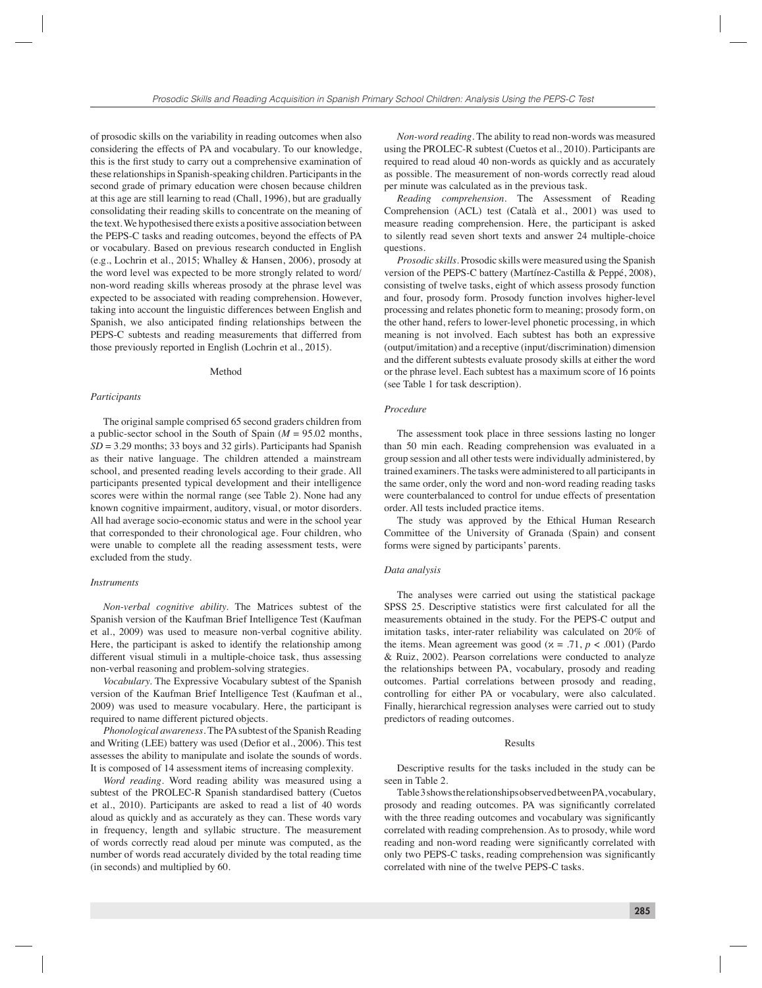of prosodic skills on the variability in reading outcomes when also considering the effects of PA and vocabulary. To our knowledge, this is the first study to carry out a comprehensive examination of these relationships in Spanish-speaking children. Participants in the second grade of primary education were chosen because children at this age are still learning to read (Chall, 1996), but are gradually consolidating their reading skills to concentrate on the meaning of the text. We hypothesised there exists a positive association between the PEPS-C tasks and reading outcomes, beyond the effects of PA or vocabulary. Based on previous research conducted in English (e.g., Lochrin et al., 2015; Whalley & Hansen, 2006), prosody at the word level was expected to be more strongly related to word/ non-word reading skills whereas prosody at the phrase level was expected to be associated with reading comprehension. However, taking into account the linguistic differences between English and Spanish, we also anticipated finding relationships between the PEPS-C subtests and reading measurements that differred from those previously reported in English (Lochrin et al., 2015).

#### Method

### *Participants*

The original sample comprised 65 second graders children from a public-sector school in the South of Spain (*M* = 95.02 months,  $SD = 3.29$  months; 33 boys and 32 girls). Participants had Spanish as their native language. The children attended a mainstream school, and presented reading levels according to their grade. All participants presented typical development and their intelligence scores were within the normal range (see Table 2). None had any known cognitive impairment, auditory, visual, or motor disorders. All had average socio-economic status and were in the school year that corresponded to their chronological age. Four children, who were unable to complete all the reading assessment tests, were excluded from the study.

#### *Instruments*

*Non-verbal cognitive ability.* The Matrices subtest of the Spanish version of the Kaufman Brief Intelligence Test (Kaufman et al., 2009) was used to measure non-verbal cognitive ability. Here, the participant is asked to identify the relationship among different visual stimuli in a multiple-choice task, thus assessing non-verbal reasoning and problem-solving strategies.

*Vocabulary.* The Expressive Vocabulary subtest of the Spanish version of the Kaufman Brief Intelligence Test (Kaufman et al., 2009) was used to measure vocabulary. Here, the participant is required to name different pictured objects.

*Phonological awareness.* The PA subtest of the Spanish Reading and Writing (LEE) battery was used (Defior et al., 2006). This test assesses the ability to manipulate and isolate the sounds of words. It is composed of 14 assessment items of increasing complexity.

*Word reading.* Word reading ability was measured using a subtest of the PROLEC-R Spanish standardised battery (Cuetos et al., 2010). Participants are asked to read a list of 40 words aloud as quickly and as accurately as they can. These words vary in frequency, length and syllabic structure. The measurement of words correctly read aloud per minute was computed, as the number of words read accurately divided by the total reading time (in seconds) and multiplied by 60.

*Non-word reading.* The ability to read non-words was measured using the PROLEC-R subtest (Cuetos et al., 2010). Participants are required to read aloud 40 non-words as quickly and as accurately as possible. The measurement of non-words correctly read aloud per minute was calculated as in the previous task.

*Reading comprehension.* The Assessment of Reading Comprehension (ACL) test (Català et al., 2001) was used to measure reading comprehension. Here, the participant is asked to silently read seven short texts and answer 24 multiple-choice questions.

*Prosodic skills.* Prosodic skills were measured using the Spanish version of the PEPS-C battery (Martínez-Castilla & Peppé, 2008), consisting of twelve tasks, eight of which assess prosody function and four, prosody form. Prosody function involves higher-level processing and relates phonetic form to meaning; prosody form, on the other hand, refers to lower-level phonetic processing, in which meaning is not involved. Each subtest has both an expressive (output/imitation) and a receptive (input/discrimination) dimension and the different subtests evaluate prosody skills at either the word or the phrase level. Each subtest has a maximum score of 16 points (see Table 1 for task description).

### *Procedure*

The assessment took place in three sessions lasting no longer than 50 min each. Reading comprehension was evaluated in a group session and all other tests were individually administered, by trained examiners. The tasks were administered to all participants in the same order, only the word and non-word reading reading tasks were counterbalanced to control for undue effects of presentation order. All tests included practice items.

The study was approved by the Ethical Human Research Committee of the University of Granada (Spain) and consent forms were signed by participants' parents.

#### *Data analysis*

The analyses were carried out using the statistical package SPSS 25. Descriptive statistics were first calculated for all the measurements obtained in the study. For the PEPS-C output and imitation tasks, inter-rater reliability was calculated on 20% of the items. Mean agreement was good ( $x = .71$ ,  $p < .001$ ) (Pardo & Ruiz, 2002). Pearson correlations were conducted to analyze the relationships between PA, vocabulary, prosody and reading outcomes. Partial correlations between prosody and reading, controlling for either PA or vocabulary, were also calculated. Finally, hierarchical regression analyses were carried out to study predictors of reading outcomes.

#### Results

Descriptive results for the tasks included in the study can be seen in Table 2.

Table 3 shows the relationships observed between PA, vocabulary, prosody and reading outcomes. PA was significantly correlated with the three reading outcomes and vocabulary was significantly correlated with reading comprehension. As to prosody, while word reading and non-word reading were significantly correlated with only two PEPS-C tasks, reading comprehension was significantly correlated with nine of the twelve PEPS-C tasks.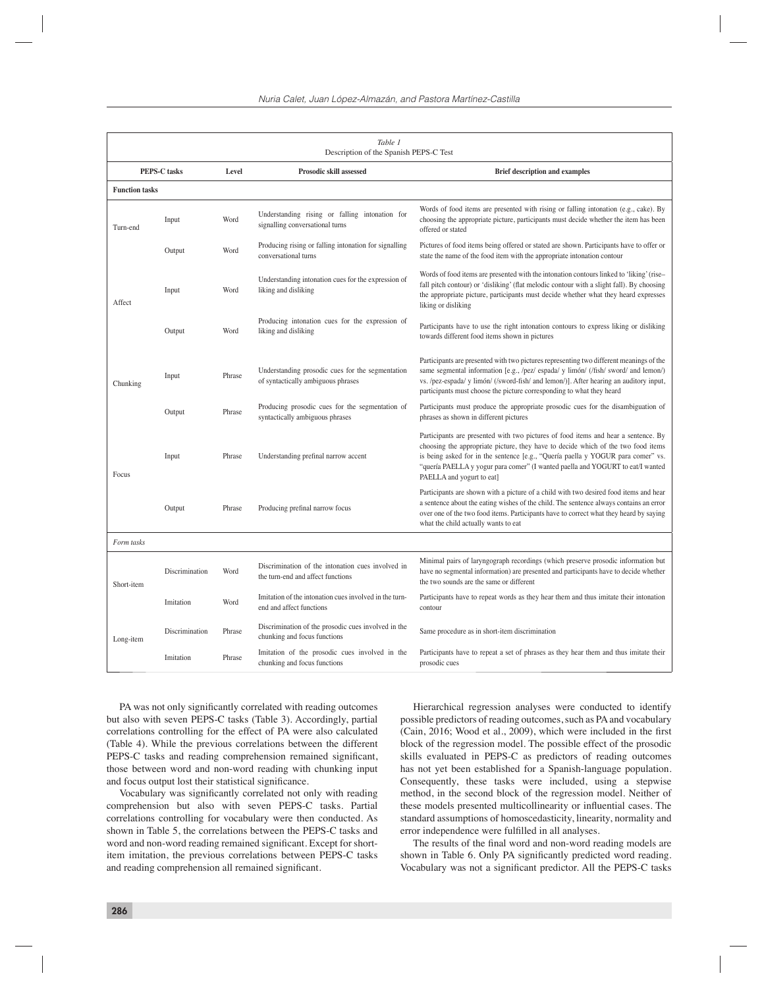|                       | Table 1<br>Description of the Spanish PEPS-C Test |        |                                                                                        |                                                                                                                                                                                                                                                                                                                                                                            |  |  |  |  |  |  |  |  |
|-----------------------|---------------------------------------------------|--------|----------------------------------------------------------------------------------------|----------------------------------------------------------------------------------------------------------------------------------------------------------------------------------------------------------------------------------------------------------------------------------------------------------------------------------------------------------------------------|--|--|--|--|--|--|--|--|
|                       | <b>PEPS-C</b> tasks                               | Level  | Prosodic skill assessed                                                                | <b>Brief description and examples</b>                                                                                                                                                                                                                                                                                                                                      |  |  |  |  |  |  |  |  |
| <b>Function tasks</b> |                                                   |        |                                                                                        |                                                                                                                                                                                                                                                                                                                                                                            |  |  |  |  |  |  |  |  |
| Turn-end              | Input                                             | Word   | Understanding rising or falling intonation for<br>signalling conversational turns      | Words of food items are presented with rising or falling intonation (e.g., cake). By<br>choosing the appropriate picture, participants must decide whether the item has been<br>offered or stated                                                                                                                                                                          |  |  |  |  |  |  |  |  |
|                       | Output                                            | Word   | Producing rising or falling intonation for signalling<br>conversational turns          | Pictures of food items being offered or stated are shown. Participants have to offer or<br>state the name of the food item with the appropriate intonation contour                                                                                                                                                                                                         |  |  |  |  |  |  |  |  |
| Affect                | Input                                             | Word   | Understanding intonation cues for the expression of<br>liking and disliking            | Words of food items are presented with the intonation contours linked to 'liking' (rise-<br>fall pitch contour) or 'disliking' (flat melodic contour with a slight fall). By choosing<br>the appropriate picture, participants must decide whether what they heard expresses<br>liking or disliking                                                                        |  |  |  |  |  |  |  |  |
|                       | Output                                            | Word   | Producing intonation cues for the expression of<br>liking and disliking                | Participants have to use the right intonation contours to express liking or disliking<br>towards different food items shown in pictures                                                                                                                                                                                                                                    |  |  |  |  |  |  |  |  |
| Chunking              | Input                                             | Phrase | Understanding prosodic cues for the segmentation<br>of syntactically ambiguous phrases | Participants are presented with two pictures representing two different meanings of the<br>same segmental information [e.g., /pez/ espada/ y limón/ (/fish/ sword/ and lemon/)<br>vs. /pez-espada/ y limón/ (/sword-fish/ and lemon/)]. After hearing an auditory input,<br>participants must choose the picture corresponding to what they heard                          |  |  |  |  |  |  |  |  |
|                       | Output                                            | Phrase | Producing prosodic cues for the segmentation of<br>syntactically ambiguous phrases     | Participants must produce the appropriate prosodic cues for the disambiguation of<br>phrases as shown in different pictures                                                                                                                                                                                                                                                |  |  |  |  |  |  |  |  |
| Focus                 | Input                                             | Phrase | Understanding prefinal narrow accent                                                   | Participants are presented with two pictures of food items and hear a sentence. By<br>choosing the appropriate picture, they have to decide which of the two food items<br>is being asked for in the sentence [e.g., "Quería paella y YOGUR para comer" vs.<br>"quería PAELLA y yogur para comer" (I wanted paella and YOGURT to eat/I wanted<br>PAELLA and yogurt to eat] |  |  |  |  |  |  |  |  |
|                       | Output                                            | Phrase | Producing prefinal narrow focus                                                        | Participants are shown with a picture of a child with two desired food items and hear<br>a sentence about the eating wishes of the child. The sentence always contains an error<br>over one of the two food items. Participants have to correct what they heard by saying<br>what the child actually wants to eat                                                          |  |  |  |  |  |  |  |  |
| Form tasks            |                                                   |        |                                                                                        |                                                                                                                                                                                                                                                                                                                                                                            |  |  |  |  |  |  |  |  |
| Short-item            | Discrimination                                    | Word   | Discrimination of the intonation cues involved in<br>the turn-end and affect functions | Minimal pairs of laryngograph recordings (which preserve prosodic information but<br>have no segmental information) are presented and participants have to decide whether<br>the two sounds are the same or different                                                                                                                                                      |  |  |  |  |  |  |  |  |
|                       | Imitation                                         | Word   | Imitation of the intonation cues involved in the turn-<br>end and affect functions     | Participants have to repeat words as they hear them and thus imitate their intonation<br>contour                                                                                                                                                                                                                                                                           |  |  |  |  |  |  |  |  |
| Long-item             | Discrimination                                    | Phrase | Discrimination of the prosodic cues involved in the<br>chunking and focus functions    | Same procedure as in short-item discrimination                                                                                                                                                                                                                                                                                                                             |  |  |  |  |  |  |  |  |
|                       | Imitation                                         | Phrase | Imitation of the prosodic cues involved in the<br>chunking and focus functions         | Participants have to repeat a set of phrases as they hear them and thus imitate their<br>prosodic cues                                                                                                                                                                                                                                                                     |  |  |  |  |  |  |  |  |

PA was not only significantly correlated with reading outcomes but also with seven PEPS-C tasks (Table 3). Accordingly, partial correlations controlling for the effect of PA were also calculated (Table 4). While the previous correlations between the different PEPS-C tasks and reading comprehension remained significant, those between word and non-word reading with chunking input and focus output lost their statistical significance.

Vocabulary was significantly correlated not only with reading comprehension but also with seven PEPS-C tasks. Partial correlations controlling for vocabulary were then conducted. As shown in Table 5, the correlations between the PEPS-C tasks and word and non-word reading remained significant. Except for shortitem imitation, the previous correlations between PEPS-C tasks and reading comprehension all remained significant.

Hierarchical regression analyses were conducted to identify possible predictors of reading outcomes, such as PA and vocabulary  $(Cain, 2016; Wood et al., 2009)$ , which were included in the first block of the regression model. The possible effect of the prosodic skills evaluated in PEPS-C as predictors of reading outcomes has not yet been established for a Spanish-language population. Consequently, these tasks were included, using a stepwise method, in the second block of the regression model. Neither of these models presented multicollinearity or influential cases. The standard assumptions of homoscedasticity, linearity, normality and error independence were fulfilled in all analyses.

The results of the final word and non-word reading models are shown in Table 6. Only PA significantly predicted word reading. Vocabulary was not a significant predictor. All the PEPS-C tasks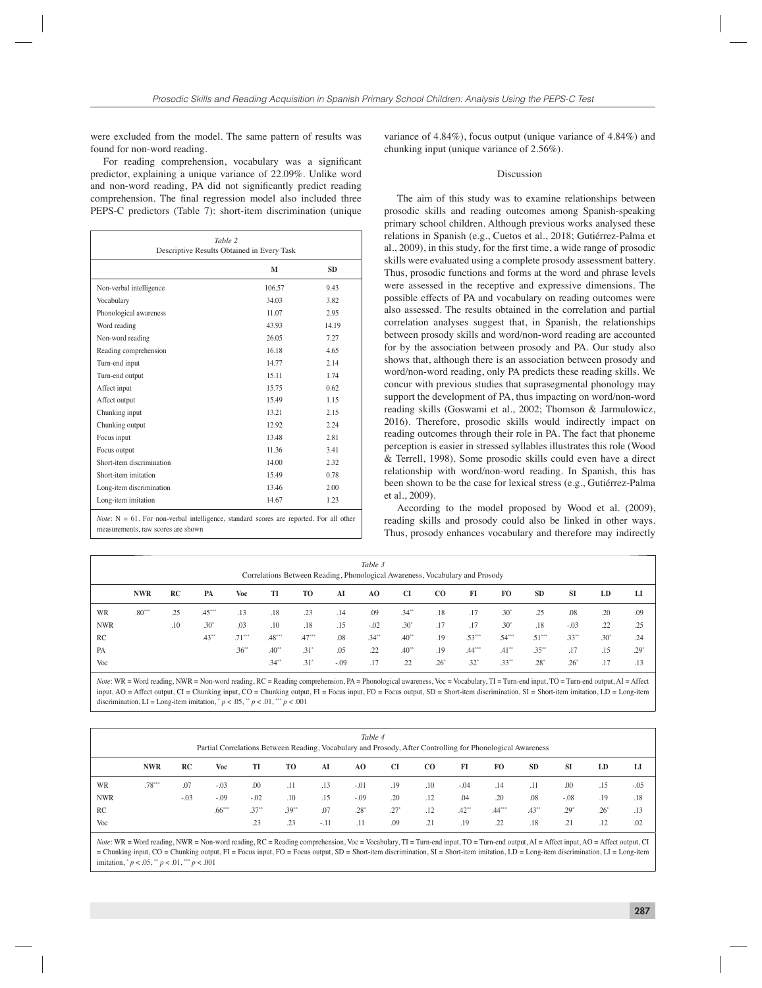were excluded from the model. The same pattern of results was found for non-word reading.

For reading comprehension, vocabulary was a significant predictor, explaining a unique variance of 22.09%. Unlike word and non-word reading, PA did not significantly predict reading comprehension. The final regression model also included three PEPS-C predictors (Table 7): short-item discrimination (unique

| Table 2<br>Descriptive Results Obtained in Every Task |        |           |  |  |  |  |  |  |  |
|-------------------------------------------------------|--------|-----------|--|--|--|--|--|--|--|
|                                                       | M      | <b>SD</b> |  |  |  |  |  |  |  |
| Non-verbal intelligence                               | 106.57 | 9.43      |  |  |  |  |  |  |  |
| Vocabulary                                            | 34.03  | 3.82      |  |  |  |  |  |  |  |
| Phonological awareness                                | 11.07  | 2.95      |  |  |  |  |  |  |  |
| Word reading                                          | 43.93  | 14.19     |  |  |  |  |  |  |  |
| Non-word reading                                      | 26.05  | 7.27      |  |  |  |  |  |  |  |
| Reading comprehension                                 | 16.18  | 4.65      |  |  |  |  |  |  |  |
| Turn-end input                                        | 1477   | 2.14      |  |  |  |  |  |  |  |
| Turn-end output                                       | 15.11  | 1.74      |  |  |  |  |  |  |  |
| Affect input                                          | 15.75  | 0.62      |  |  |  |  |  |  |  |
| Affect output                                         | 1549   | 1.15      |  |  |  |  |  |  |  |
| Chunking input                                        | 13.21  | 2.15      |  |  |  |  |  |  |  |
| Chunking output                                       | 12.92  | 2.24      |  |  |  |  |  |  |  |
| Focus input                                           | 13.48  | 2.81      |  |  |  |  |  |  |  |
| Focus output                                          | 11.36  | 3.41      |  |  |  |  |  |  |  |
| Short-item discrimination                             | 14.00  | 2.32      |  |  |  |  |  |  |  |
| Short-item imitation                                  | 15.49  | 0.78      |  |  |  |  |  |  |  |
| Long-item discrimination                              | 13.46  | 2.00      |  |  |  |  |  |  |  |
| Long-item imitation                                   | 14.67  | 1.23      |  |  |  |  |  |  |  |

*Note*:  $N = 61$ . For non-verbal intelligence, standard scores are reported. For all other measurements, raw scores are shown

variance of 4.84%), focus output (unique variance of 4.84%) and chunking input (unique variance of 2.56%).

#### Discussion

The aim of this study was to examine relationships between prosodic skills and reading outcomes among Spanish-speaking primary school children. Although previous works analysed these relations in Spanish (e.g., Cuetos et al., 2018; Gutiérrez-Palma et al., 2009), in this study, for the first time, a wide range of prosodic skills were evaluated using a complete prosody assessment battery. Thus, prosodic functions and forms at the word and phrase levels were assessed in the receptive and expressive dimensions. The possible effects of PA and vocabulary on reading outcomes were also assessed. The results obtained in the correlation and partial correlation analyses suggest that, in Spanish, the relationships between prosody skills and word/non-word reading are accounted for by the association between prosody and PA. Our study also shows that, although there is an association between prosody and word/non-word reading, only PA predicts these reading skills. We concur with previous studies that suprasegmental phonology may support the development of PA, thus impacting on word/non-word reading skills (Goswami et al., 2002; Thomson & Jarmulowicz, 2016). Therefore, prosodic skills would indirectly impact on reading outcomes through their role in PA. The fact that phoneme perception is easier in stressed syllables illustrates this role (Wood & Terrell, 1998). Some prosodic skills could even have a direct relationship with word/non-word reading. In Spanish, this has been shown to be the case for lexical stress (e.g., Gutiérrez-Palma et al., 2009).

According to the model proposed by Wood et al. (2009), reading skills and prosody could also be linked in other ways. Thus, prosody enhances vocabulary and therefore may indirectly

|            |            |     |          |          |          | Correlations Between Reading, Phonological Awareness, Vocabulary and Prosody |        | Table 3        |         |        |               |          |           |           |               |        |
|------------|------------|-----|----------|----------|----------|------------------------------------------------------------------------------|--------|----------------|---------|--------|---------------|----------|-----------|-----------|---------------|--------|
|            | <b>NWR</b> | RC  | PA       | Voc      | TI       | TO                                                                           | AI     | A <sub>O</sub> | CI      | CO.    | FI            | FO.      | <b>SD</b> | <b>SI</b> | LD            | LI     |
| WR         | $.80***$   | .25 | $.45***$ | .13      | .18      | .23                                                                          | .14    | .09            | $.34**$ | .18    | .17           | $.30*$   | .25       | .08       | .20           | .09    |
| <b>NWR</b> |            | .10 | $.30*$   | .03      | .10      | .18                                                                          | .15    | $-.02$         | $.30*$  | .17    | .17           | $.30*$   | .18       | $-.03$    | .22           | .25    |
| RC         |            |     | $.43***$ | $.71***$ | $.48***$ | $.47***$                                                                     | .08    | $.34***$       | $.40**$ | .19    | $.53***$      | $.54***$ | $.51***$  | $.33***$  | $.30^{\circ}$ | .24    |
| PA         |            |     |          | $.36***$ | $.40**$  | $.31^{\circ}$                                                                | .05    | .22            | $.40**$ | .19    | $.44***$      | $.41***$ | $.35***$  | .17       | .15           | $.29*$ |
| Voc        |            |     |          |          | $.34**$  | $.31*$                                                                       | $-.09$ | .17            | .22     | $.26*$ | $.32^{\circ}$ | $.33***$ | $.28*$    | $.26*$    | .17           | .13    |

*Note*: WR = Word reading, NWR = Non-word reading, RC = Reading comprehension, PA = Phonological awareness, Voc = Vocabulary, TI = Turn-end input, TO = Turn-end output, AI = Affect input, AO = Affect output, CI = Chunking input, CO = Chunking output, FI = Focus input, FO = Focus output, SD = Short-item discrimination, SI = Short-item imitation, LD = Long-item discrimination, LI = Long-item imitation,  $p < .05$ ,  $p < .01$ ,  $p < .001$ 

|            | Table 4<br>Partial Correlations Between Reading, Vocabulary and Prosody, After Controlling for Phonological Awareness |        |          |         |         |        |        |        |             |         |          |           |           |        |        |
|------------|-----------------------------------------------------------------------------------------------------------------------|--------|----------|---------|---------|--------|--------|--------|-------------|---------|----------|-----------|-----------|--------|--------|
|            | <b>NWR</b>                                                                                                            | RC     | Voc      | TI      | TO      | AI     | AO     | CI     | $_{\rm CO}$ | FI      | FO.      | <b>SD</b> | <b>SI</b> | LD     | LI     |
| <b>WR</b>  | $.78***$                                                                                                              | .07    | $-.03$   | .00     | .11     | .13    | $-.01$ | .19    | .10         | $-.04$  | .14      | .11       | .00       | .15    | $-.05$ |
| <b>NWR</b> |                                                                                                                       | $-.03$ | $-.09$   | $-.02$  | .10     | .15    | $-.09$ | .20    | .12         | .04     | .20      | .08       | $-.08$    | .19    | .18    |
| RC         |                                                                                                                       |        | $.66***$ | $.37**$ | $.39**$ | .07    | $.28*$ | $.27*$ | .12         | $.42**$ | $.44***$ | $.43**$   | $.29*$    | $.26*$ | .13    |
| Voc        |                                                                                                                       |        |          | .23     | .23     | $-.11$ | .11    | .09    | .21         | .19     | .22      | .18       | .21       | .12    | .02    |

*Note*: WR = Word reading, NWR = Non-word reading, RC = Reading comprehension, Voc = Vocabulary, TI = Turn-end input, TO = Turn-end output, AI = Affect input, AO = Affect output, CI = Chunking input, CO = Chunking output, FI = Focus input, FO = Focus output, SD = Short-item discrimination, SI = Short-item imitation, LD = Long-item discrimination, LI = Long-item imitation, \* *p* < .05, \*\* *p* < .01, \*\*\* *p* < .001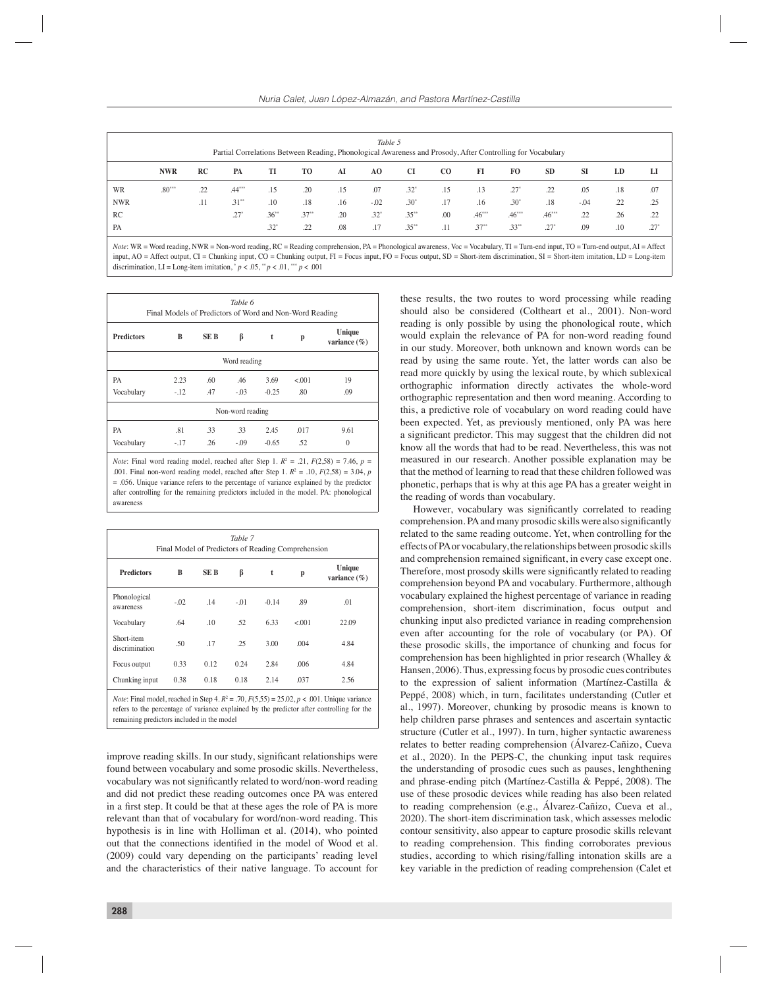|            | Table 5<br>Partial Correlations Between Reading, Phonological Awareness and Prosody, After Controlling for Vocabulary |     |          |         |         |     |         |               |             |          |               |           |           |     |         |
|------------|-----------------------------------------------------------------------------------------------------------------------|-----|----------|---------|---------|-----|---------|---------------|-------------|----------|---------------|-----------|-----------|-----|---------|
|            | <b>NWR</b>                                                                                                            | RC  | PA       | TI      | TO      | AI  | AO.     | <b>CI</b>     | $_{\rm CO}$ | FI       | FO.           | <b>SD</b> | <b>SI</b> | LD  | LI      |
| WR         | $.80***$                                                                                                              | .22 | $.44***$ | .15     | .20     | .15 | .07     | $.32^{\circ}$ | .15         | .13      | $.27^{\circ}$ | .22       | .05       | .18 | .07     |
| <b>NWR</b> |                                                                                                                       | .11 | $.31**$  | .10     | .18     | .16 | $-.02$  | $.30*$        | .17         | .16      | $.30*$        | .18       | $-.04$    | .22 | .25     |
| RC         |                                                                                                                       |     | $.27*$   | $.36**$ | $.37**$ | .20 | $.32^*$ | $.35***$      | .00         | $.46***$ | $46***$       | $.46***$  | .22       | .26 | .22     |
| PA         |                                                                                                                       |     |          | $.32*$  | .22     | .08 | .17     | $.35**$       | .11         | $.37**$  | $.33**$       | $.27*$    | .09       | .10 | $.27^*$ |

*Note*: WR = Word reading, NWR = Non-word reading, RC = Reading comprehension, PA = Phonological awareness, Voc = Vocabulary, TI = Turn-end input, TO = Turn-end output, AI = Affect input, AO = Affect output, CI = Chunking input, CO = Chunking output, FI = Focus input, FO = Focus output, SD = Short-item discrimination, SI = Short-item imitation, LD = Long-item discrimination, LI = Long-item imitation,  $p < .05$ ,  $p < .01$ ,  $p < .001$ 

| Table 6<br>Final Models of Predictors of Word and Non-Word Reading |        |                  |                  |         |         |                            |  |  |  |  |  |
|--------------------------------------------------------------------|--------|------------------|------------------|---------|---------|----------------------------|--|--|--|--|--|
| <b>Predictors</b>                                                  | В      | SE B             | β                | t       | p       | Unique<br>variance $(\% )$ |  |  |  |  |  |
| Word reading                                                       |        |                  |                  |         |         |                            |  |  |  |  |  |
| РA                                                                 | 2.23   | .60 <sub>1</sub> | .46              | 3.69    | < 0.001 | 19                         |  |  |  |  |  |
| Vocabulary                                                         | $-.12$ | .47              | $-.03$           | $-0.25$ | .80     | .09                        |  |  |  |  |  |
|                                                                    |        |                  | Non-word reading |         |         |                            |  |  |  |  |  |
| PA                                                                 | .81    | .33              | .33              | 2.45    | .017    | 9.61                       |  |  |  |  |  |
| Vocabulary                                                         | $-.17$ | .26              | $-.09$           | $-0.65$ | .52     | $\theta$                   |  |  |  |  |  |

.001. Final non-word reading model, reached after Step 1.  $R^2 = .10$ ,  $F(2,58) = 3.04$ , *p*  $= .056$ . Unique variance refers to the percentage of variance explained by the predictor after controlling for the remaining predictors included in the model. PA: phonological awareness

| Table 7<br>Final Model of Predictors of Reading Comprehension                                                                                                                                              |        |      |        |         |        |                            |  |  |  |  |  |
|------------------------------------------------------------------------------------------------------------------------------------------------------------------------------------------------------------|--------|------|--------|---------|--------|----------------------------|--|--|--|--|--|
| <b>Predictors</b>                                                                                                                                                                                          | B      | SE B | β      | t       | p      | Unique<br>variance $(\% )$ |  |  |  |  |  |
| Phonological<br>awareness                                                                                                                                                                                  | $-.02$ | .14  | $-.01$ | $-0.14$ | .89    | .01                        |  |  |  |  |  |
| Vocabulary                                                                                                                                                                                                 | .64    | .10  | .52    | 6.33    | < 0.01 | 22.09                      |  |  |  |  |  |
| Short-item<br>discrimination                                                                                                                                                                               | .50    | .17  | .25    | 3.00    | .004   | 4.84                       |  |  |  |  |  |
| Focus output                                                                                                                                                                                               | 0.33   | 0.12 | 0.24   | 2.84    | .006   | 4.84                       |  |  |  |  |  |
| Chunking input                                                                                                                                                                                             | 0.38   | 0.18 | 0.18   | 2.14    | .037   | 2.56                       |  |  |  |  |  |
| <i>Note</i> : Final model, reached in Step 4. $R^2 = .70$ , $F(5,55) = 25.02$ , $p < .001$ . Unique variance<br>action to the monocotics of violence cruitered by the modifictor often controlling for the |        |      |        |         |        |                            |  |  |  |  |  |

refers to the percentage of variance explained by the predictor after controlling for the remaining predictors included in the model

improve reading skills. In our study, significant relationships were found between vocabulary and some prosodic skills. Nevertheless, vocabulary was not significantly related to word/non-word reading and did not predict these reading outcomes once PA was entered in a first step. It could be that at these ages the role of PA is more relevant than that of vocabulary for word/non-word reading. This hypothesis is in line with Holliman et al. (2014), who pointed out that the connections identified in the model of Wood et al. (2009) could vary depending on the participants' reading level and the characteristics of their native language. To account for

these results, the two routes to word processing while reading should also be considered (Coltheart et al., 2001). Non-word reading is only possible by using the phonological route, which would explain the relevance of PA for non-word reading found in our study. Moreover, both unknown and known words can be read by using the same route. Yet, the latter words can also be read more quickly by using the lexical route, by which sublexical orthographic information directly activates the whole-word orthographic representation and then word meaning. According to this, a predictive role of vocabulary on word reading could have been expected. Yet, as previously mentioned, only PA was here a significant predictor. This may suggest that the children did not know all the words that had to be read. Nevertheless, this was not measured in our research. Another possible explanation may be that the method of learning to read that these children followed was phonetic, perhaps that is why at this age PA has a greater weight in the reading of words than vocabulary.

However, vocabulary was significantly correlated to reading comprehension. PA and many prosodic skills were also significantly related to the same reading outcome. Yet, when controlling for the effects of PA or vocabulary, the relationships between prosodic skills and comprehension remained significant, in every case except one. Therefore, most prosody skills were significantly related to reading comprehension beyond PA and vocabulary. Furthermore, although vocabulary explained the highest percentage of variance in reading comprehension, short-item discrimination, focus output and chunking input also predicted variance in reading comprehension even after accounting for the role of vocabulary (or PA). Of these prosodic skills, the importance of chunking and focus for comprehension has been highlighted in prior research (Whalley & Hansen, 2006). Thus, expressing focus by prosodic cues contributes to the expression of salient information (Martínez-Castilla & Peppé, 2008) which, in turn, facilitates understanding (Cutler et al., 1997). Moreover, chunking by prosodic means is known to help children parse phrases and sentences and ascertain syntactic structure (Cutler et al., 1997). In turn, higher syntactic awareness relates to better reading comprehension (Álvarez-Cañizo, Cueva et al., 2020). In the PEPS-C, the chunking input task requires the understanding of prosodic cues such as pauses, lenghthening and phrase-ending pitch (Martínez-Castilla & Peppé, 2008). The use of these prosodic devices while reading has also been related to reading comprehension (e.g., Álvarez-Cañizo, Cueva et al., 2020). The short-item discrimination task, which assesses melodic contour sensitivity, also appear to capture prosodic skills relevant to reading comprehension. This finding corroborates previous studies, according to which rising/falling intonation skills are a key variable in the prediction of reading comprehension (Calet et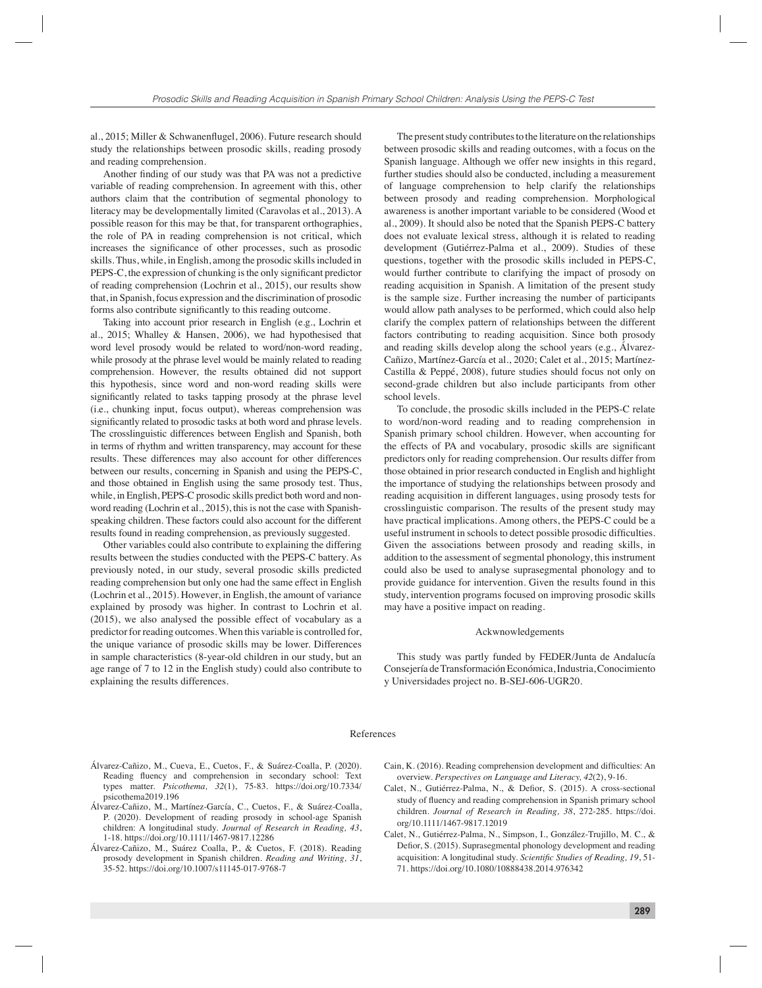al., 2015; Miller & Schwanenflugel, 2006). Future research should study the relationships between prosodic skills, reading prosody and reading comprehension.

Another finding of our study was that PA was not a predictive variable of reading comprehension. In agreement with this, other authors claim that the contribution of segmental phonology to literacy may be developmentally limited (Caravolas et al., 2013). A possible reason for this may be that, for transparent orthographies, the role of PA in reading comprehension is not critical, which increases the significance of other processes, such as prosodic skills. Thus, while, in English, among the prosodic skills included in PEPS-C, the expression of chunking is the only significant predictor of reading comprehension (Lochrin et al., 2015), our results show that, in Spanish, focus expression and the discrimination of prosodic forms also contribute significantly to this reading outcome.

Taking into account prior research in English (e.g., Lochrin et al., 2015; Whalley & Hansen, 2006), we had hypothesised that word level prosody would be related to word/non-word reading, while prosody at the phrase level would be mainly related to reading comprehension. However, the results obtained did not support this hypothesis, since word and non-word reading skills were significantly related to tasks tapping prosody at the phrase level (i.e., chunking input, focus output), whereas comprehension was significantly related to prosodic tasks at both word and phrase levels. The crosslinguistic differences between English and Spanish, both in terms of rhythm and written transparency, may account for these results. These differences may also account for other differences between our results, concerning in Spanish and using the PEPS-C, and those obtained in English using the same prosody test. Thus, while, in English, PEPS-C prosodic skills predict both word and nonword reading (Lochrin et al., 2015), this is not the case with Spanishspeaking children. These factors could also account for the different results found in reading comprehension, as previously suggested.

Other variables could also contribute to explaining the differing results between the studies conducted with the PEPS-C battery. As previously noted, in our study, several prosodic skills predicted reading comprehension but only one had the same effect in English (Lochrin et al., 2015). However, in English, the amount of variance explained by prosody was higher. In contrast to Lochrin et al. (2015), we also analysed the possible effect of vocabulary as a predictor for reading outcomes. When this variable is controlled for, the unique variance of prosodic skills may be lower. Differences in sample characteristics (8-year-old children in our study, but an age range of 7 to 12 in the English study) could also contribute to explaining the results differences.

The present study contributes to the literature on the relationships between prosodic skills and reading outcomes, with a focus on the Spanish language. Although we offer new insights in this regard, further studies should also be conducted, including a measurement of language comprehension to help clarify the relationships between prosody and reading comprehension. Morphological awareness is another important variable to be considered (Wood et al., 2009). It should also be noted that the Spanish PEPS-C battery does not evaluate lexical stress, although it is related to reading development (Gutiérrez-Palma et al., 2009). Studies of these questions, together with the prosodic skills included in PEPS-C, would further contribute to clarifying the impact of prosody on reading acquisition in Spanish. A limitation of the present study is the sample size. Further increasing the number of participants would allow path analyses to be performed, which could also help clarify the complex pattern of relationships between the different factors contributing to reading acquisition. Since both prosody and reading skills develop along the school years (e.g., Álvarez-Cañizo, Martínez-García et al., 2020; Calet et al., 2015; Martínez-Castilla & Peppé, 2008), future studies should focus not only on second-grade children but also include participants from other school levels.

To conclude, the prosodic skills included in the PEPS-C relate to word/non-word reading and to reading comprehension in Spanish primary school children. However, when accounting for the effects of PA and vocabulary, prosodic skills are significant predictors only for reading comprehension. Our results differ from those obtained in prior research conducted in English and highlight the importance of studying the relationships between prosody and reading acquisition in different languages, using prosody tests for crosslinguistic comparison. The results of the present study may have practical implications. Among others, the PEPS-C could be a useful instrument in schools to detect possible prosodic difficulties. Given the associations between prosody and reading skills, in addition to the assessment of segmental phonology, this instrument could also be used to analyse suprasegmental phonology and to provide guidance for intervention. Given the results found in this study, intervention programs focused on improving prosodic skills may have a positive impact on reading.

#### Ackwnowledgements

This study was partly funded by FEDER/Junta de Andalucía Consejería de Transformación Económica, Industria, Conocimiento y Universidades project no. B-SEJ-606-UGR20.

### References

- Álvarez-Cañizo, M., Cueva, E., Cuetos, F., & Suárez-Coalla, P. (2020). Reading fluency and comprehension in secondary school: Text types matter. *Psicothema, 32*(1), 75-83. https://doi.org/10.7334/ psicothema2019.196
- Álvarez-Cañizo, M., Martínez-García, C., Cuetos, F., & Suárez-Coalla, P. (2020). Development of reading prosody in school-age Spanish children: A longitudinal study. *Journal of Research in Reading, 43*, 1-18. https://doi.org/10.1111/1467-9817.12286
- Álvarez-Cañizo, M., Suárez Coalla, P., & Cuetos, F. (2018). Reading prosody development in Spanish children. *Reading and Writing, 31*, 35-52. https://doi.org/10.1007/s11145-017-9768-7
- Cain, K. (2016). Reading comprehension development and difficulties: An overview. *Perspectives on Language and Literacy, 42*(2), 9-16.
- Calet, N., Gutiérrez-Palma, N., & Defior, S. (2015). A cross-sectional study of fluency and reading comprehension in Spanish primary school children. *Journal of Research in Reading, 38*, 272-285. https://doi. org/10.1111/1467-9817.12019
- Calet, N., Gutiérrez-Palma, N., Simpson, I., González-Trujillo, M. C., & Defior, S. (2015). Suprasegmental phonology development and reading acquisition: A longitudinal study. *Scientific Studies of Reading*, 19, 51-71. https://doi.org/10.1080/10888438.2014.976342